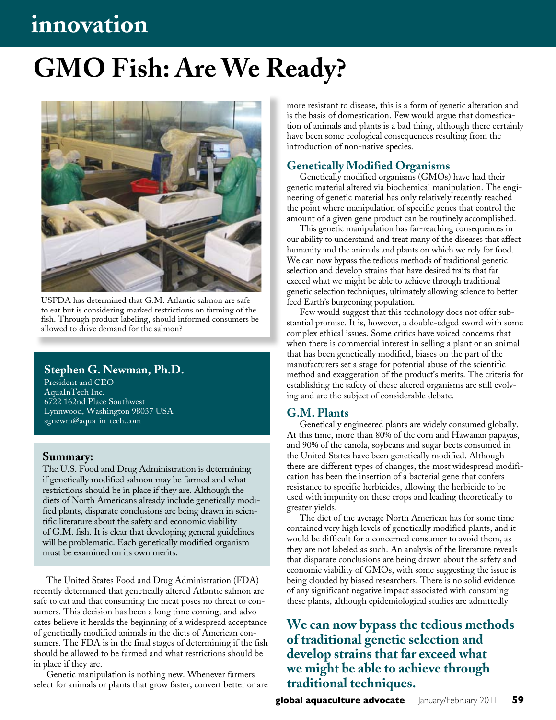# **innovation**

# **GMO Fish: Are We Ready?**



USFDA has determined that G.M. Atlantic salmon are safe to eat but is considering marked restrictions on farming of the fish. Through product labeling, should informed consumers be allowed to drive demand for the salmon?

#### **Stephen G. Newman, Ph.D.**

President and CEO AquaInTech Inc. 6722 162nd Place Southwest Lynnwood, Washington 98037 USA sgnewm@aqua-in-tech.com

#### **Summary:**

The U.S. Food and Drug Administration is determining if genetically modified salmon may be farmed and what restrictions should be in place if they are. Although the diets of North Americans already include genetically modified plants, disparate conclusions are being drawn in scientific literature about the safety and economic viability of G.M. fish. It is clear that developing general guidelines will be problematic. Each genetically modified organism must be examined on its own merits.

The United States Food and Drug Administration (FDA) recently determined that genetically altered Atlantic salmon are safe to eat and that consuming the meat poses no threat to consumers. This decision has been a long time coming, and advocates believe it heralds the beginning of a widespread acceptance of genetically modified animals in the diets of American consumers. The FDA is in the final stages of determining if the fish should be allowed to be farmed and what restrictions should be in place if they are.

Genetic manipulation is nothing new. Whenever farmers select for animals or plants that grow faster, convert better or are more resistant to disease, this is a form of genetic alteration and is the basis of domestication. Few would argue that domestication of animals and plants is a bad thing, although there certainly have been some ecological consequences resulting from the introduction of non-native species.

#### **Genetically Modified Organisms**

Genetically modified organisms (GMOs) have had their genetic material altered via biochemical manipulation. The engineering of genetic material has only relatively recently reached the point where manipulation of specific genes that control the amount of a given gene product can be routinely accomplished.

This genetic manipulation has far-reaching consequences in our ability to understand and treat many of the diseases that affect humanity and the animals and plants on which we rely for food. We can now bypass the tedious methods of traditional genetic selection and develop strains that have desired traits that far exceed what we might be able to achieve through traditional genetic selection techniques, ultimately allowing science to better feed Earth's burgeoning population.

Few would suggest that this technology does not offer substantial promise. It is, however, a double-edged sword with some complex ethical issues. Some critics have voiced concerns that when there is commercial interest in selling a plant or an animal that has been genetically modified, biases on the part of the manufacturers set a stage for potential abuse of the scientific method and exaggeration of the product's merits. The criteria for establishing the safety of these altered organisms are still evolving and are the subject of considerable debate.

#### **G.M. Plants**

Genetically engineered plants are widely consumed globally. At this time, more than 80% of the corn and Hawaiian papayas, and 90% of the canola, soybeans and sugar beets consumed in the United States have been genetically modified. Although there are different types of changes, the most widespread modification has been the insertion of a bacterial gene that confers resistance to specific herbicides, allowing the herbicide to be used with impunity on these crops and leading theoretically to greater yields.

The diet of the average North American has for some time contained very high levels of genetically modified plants, and it would be difficult for a concerned consumer to avoid them, as they are not labeled as such. An analysis of the literature reveals that disparate conclusions are being drawn about the safety and economic viability of GMOs, with some suggesting the issue is being clouded by biased researchers. There is no solid evidence of any significant negative impact associated with consuming these plants, although epidemiological studies are admittedly

**We can now bypass the tedious methods of traditional genetic selection and develop strains that far exceed what we might be able to achieve through traditional techniques.**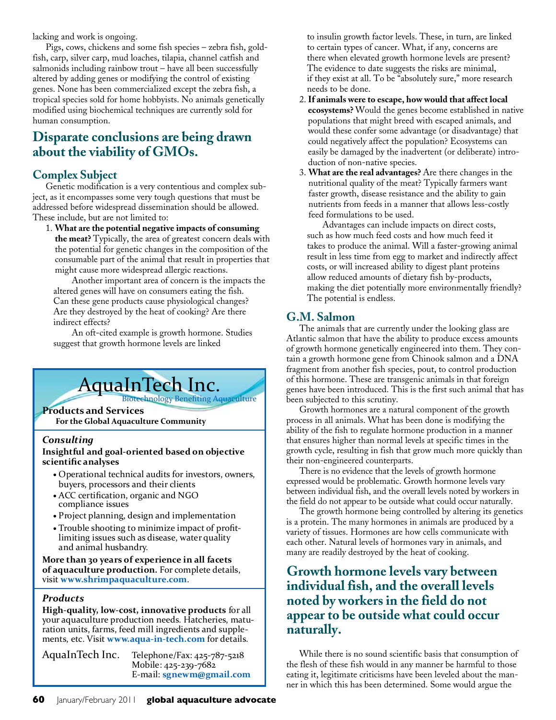lacking and work is ongoing.

Pigs, cows, chickens and some fish species – zebra fish, goldfish, carp, silver carp, mud loaches, tilapia, channel catfish and salmonids including rainbow trout – have all been successfully altered by adding genes or modifying the control of existing genes. None has been commercialized except the zebra fish, a tropical species sold for home hobbyists. No animals genetically modified using biochemical techniques are currently sold for human consumption.

# **Disparate conclusions are being drawn about the viability of GMOs.**

### **Complex Subject**

Genetic modification is a very contentious and complex subject, as it encompasses some very tough questions that must be addressed before widespread dissemination should be allowed. These include, but are not limited to:

1. **What are the potential negative impacts of consuming** 

**the meat?** Typically, the area of greatest concern deals with the potential for genetic changes in the composition of the consumable part of the animal that result in properties that might cause more widespread allergic reactions.

Another important area of concern is the impacts the altered genes will have on consumers eating the fish. Can these gene products cause physiological changes? Are they destroyed by the heat of cooking? Are there indirect effects?

An oft-cited example is growth hormone. Studies suggest that growth hormone levels are linked

# AquaInTech Inc.

#### **Products and Services**

**For the Global Aquaculture Community**

#### *Consulting*

# **Insightful and goal-oriented based on objective scientific analyses**

- **•** Operational technical audits for investors, owners, buyers, processors and their clients
- **•** ACC certification, organic and NGO compliance issues
- **•** Project planning, design and implementation
- **•** Trouble shooting to minimize impact of profit- limiting issues such as disease, water quality and animal husbandry.

**More than 30 years of experience in all facets of aquaculture production.** For complete details, visit **www.shrimpaquaculture.com**.

#### *Products*

**High-quality, low-cost, innovative products** for all your aquaculture production needs. Hatcheries, matu ration units, farms, feed mill ingredients and supple ments, etc. Visit **www.aqua-in-tech.com** for details.

AquaInTech Inc. Telephone/Fax: 425-787-5218 Mobile: 425-239-7682 E-mail: **sgnewm@gmail.com**  to insulin growth factor levels. These, in turn, are linked to certain types of cancer. What, if any, concerns are there when elevated growth hormone levels are present? The evidence to date suggests the risks are minimal, if they exist at all. To be "absolutely sure," more research needs to be done.

- 2. **If animals were to escape, how would that affect local ecosystems?** Would the genes become established in native populations that might breed with escaped animals, and would these confer some advantage (or disadvantage) that could negatively affect the population? Ecosystems can easily be damaged by the inadvertent (or deliberate) introduction of non-native species.
- 3. **What are the real advantages?** Are there changes in the nutritional quality of the meat? Typically farmers want faster growth, disease resistance and the ability to gain nutrients from feeds in a manner that allows less-costly feed formulations to be used.

 Advantages can include impacts on direct costs, such as how much feed costs and how much feed it takes to produce the animal. Will a faster-growing animal result in less time from egg to market and indirectly affect costs, or will increased ability to digest plant proteins allow reduced amounts of dietary fish by-products, making the diet potentially more environmentally friendly? The potential is endless.

### **G.M. Salmon**

The animals that are currently under the looking glass are Atlantic salmon that have the ability to produce excess amounts of growth hormone genetically engineered into them. They contain a growth hormone gene from Chinook salmon and a DNA fragment from another fish species, pout, to control production of this hormone. These are transgenic animals in that foreign genes have been introduced. This is the first such animal that has been subjected to this scrutiny.

Growth hormones are a natural component of the growth process in all animals. What has been done is modifying the ability of the fish to regulate hormone production in a manner that ensures higher than normal levels at specific times in the growth cycle, resulting in fish that grow much more quickly than their non-engineered counterparts.

There is no evidence that the levels of growth hormone expressed would be problematic. Growth hormone levels vary between individual fish, and the overall levels noted by workers in the field do not appear to be outside what could occur naturally.

The growth hormone being controlled by altering its genetics is a protein. The many hormones in animals are produced by a variety of tissues. Hormones are how cells communicate with each other. Natural levels of hormones vary in animals, and many are readily destroyed by the heat of cooking.

# **Growth hormone levels vary between individual fish, and the overall levels noted by workers in the field do not appear to be outside what could occur naturally.**

While there is no sound scientific basis that consumption of the flesh of these fish would in any manner be harmful to those eating it, legitimate criticisms have been leveled about the manner in which this has been determined. Some would argue the